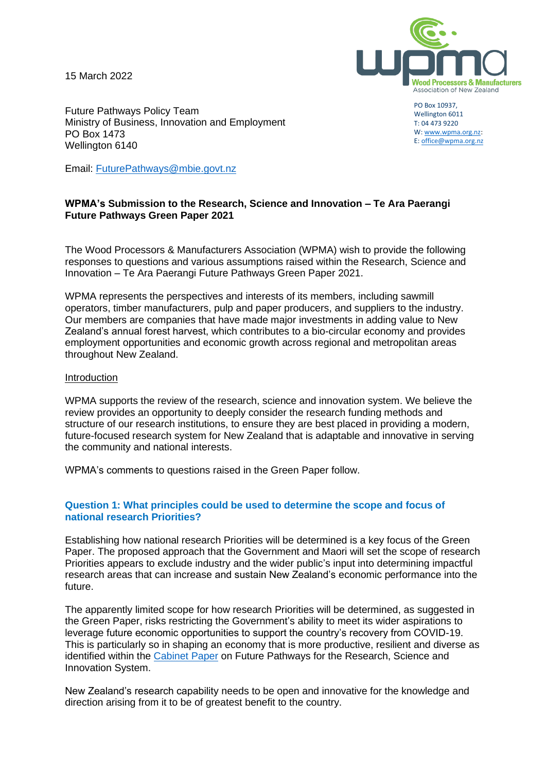15 March 2022



Future Pathways Policy Team Ministry of Business, Innovation and Employment PO Box 1473 Wellington 6140

PO Box 10937, Wellington 6011 T: 04 473 9220 W[: www.wpma.org.nz:](http://www.wpma.org.nz/) E[: office@wpma.org.nz](mailto:office@wpma.org.nz)

Email: [FuturePathways@mbie.govt.nz](mailto:FuturePathways@mbie.govt.nz)

### **WPMA's Submission to the Research, Science and Innovation – Te Ara Paerangi Future Pathways Green Paper 2021**

The Wood Processors & Manufacturers Association (WPMA) wish to provide the following responses to questions and various assumptions raised within the Research, Science and Innovation – Te Ara Paerangi Future Pathways Green Paper 2021.

WPMA represents the perspectives and interests of its members, including sawmill operators, timber manufacturers, pulp and paper producers, and suppliers to the industry. Our members are companies that have made major investments in adding value to New Zealand's annual forest harvest, which contributes to a bio-circular economy and provides employment opportunities and economic growth across regional and metropolitan areas throughout New Zealand.

#### Introduction

WPMA supports the review of the research, science and innovation system. We believe the review provides an opportunity to deeply consider the research funding methods and structure of our research institutions, to ensure they are best placed in providing a modern, future-focused research system for New Zealand that is adaptable and innovative in serving the community and national interests.

WPMA's comments to questions raised in the Green Paper follow.

#### **Question 1: What principles could be used to determine the scope and focus of national research Priorities?**

Establishing how national research Priorities will be determined is a key focus of the Green Paper. The proposed approach that the Government and Maori will set the scope of research Priorities appears to exclude industry and the wider public's input into determining impactful research areas that can increase and sustain New Zealand's economic performance into the future.

The apparently limited scope for how research Priorities will be determined, as suggested in the Green Paper, risks restricting the Government's ability to meet its wider aspirations to leverage future economic opportunities to support the country's recovery from COVID-19. This is particularly so in shaping an economy that is more productive, resilient and diverse as identified within the [Cabinet Paper](https://www.mbie.govt.nz/dmsdocument/17664-future-pathways-for-the-research-science-and-innovation-system-proactiverelease-pdf) on Future Pathways for the Research, Science and Innovation System.

New Zealand's research capability needs to be open and innovative for the knowledge and direction arising from it to be of greatest benefit to the country.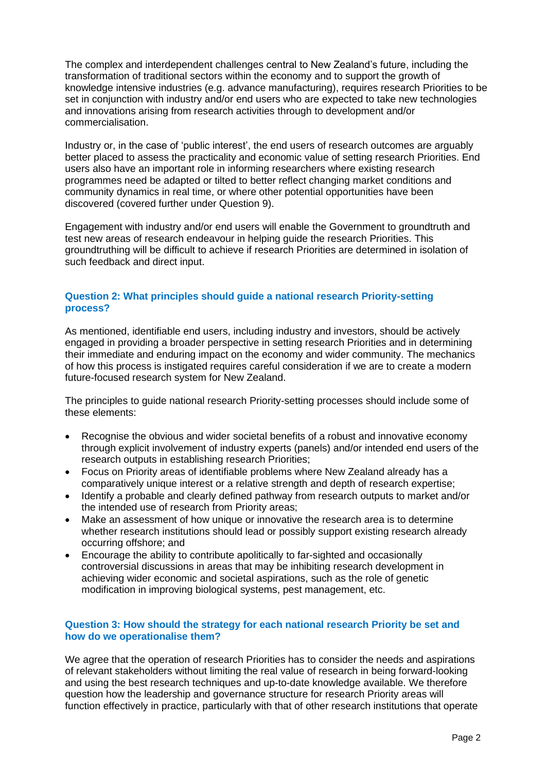The complex and interdependent challenges central to New Zealand's future, including the transformation of traditional sectors within the economy and to support the growth of knowledge intensive industries (e.g. advance manufacturing), requires research Priorities to be set in conjunction with industry and/or end users who are expected to take new technologies and innovations arising from research activities through to development and/or commercialisation.

Industry or, in the case of 'public interest', the end users of research outcomes are arguably better placed to assess the practicality and economic value of setting research Priorities. End users also have an important role in informing researchers where existing research programmes need be adapted or tilted to better reflect changing market conditions and community dynamics in real time, or where other potential opportunities have been discovered (covered further under Question 9).

Engagement with industry and/or end users will enable the Government to groundtruth and test new areas of research endeavour in helping guide the research Priorities. This groundtruthing will be difficult to achieve if research Priorities are determined in isolation of such feedback and direct input.

# **Question 2: What principles should guide a national research Priority-setting process?**

As mentioned, identifiable end users, including industry and investors, should be actively engaged in providing a broader perspective in setting research Priorities and in determining their immediate and enduring impact on the economy and wider community. The mechanics of how this process is instigated requires careful consideration if we are to create a modern future-focused research system for New Zealand.

The principles to guide national research Priority-setting processes should include some of these elements:

- Recognise the obvious and wider societal benefits of a robust and innovative economy through explicit involvement of industry experts (panels) and/or intended end users of the research outputs in establishing research Priorities;
- Focus on Priority areas of identifiable problems where New Zealand already has a comparatively unique interest or a relative strength and depth of research expertise;
- Identify a probable and clearly defined pathway from research outputs to market and/or the intended use of research from Priority areas;
- Make an assessment of how unique or innovative the research area is to determine whether research institutions should lead or possibly support existing research already occurring offshore; and
- Encourage the ability to contribute apolitically to far-sighted and occasionally controversial discussions in areas that may be inhibiting research development in achieving wider economic and societal aspirations, such as the role of genetic modification in improving biological systems, pest management, etc.

#### **Question 3: How should the strategy for each national research Priority be set and how do we operationalise them?**

We agree that the operation of research Priorities has to consider the needs and aspirations of relevant stakeholders without limiting the real value of research in being forward-looking and using the best research techniques and up-to-date knowledge available. We therefore question how the leadership and governance structure for research Priority areas will function effectively in practice, particularly with that of other research institutions that operate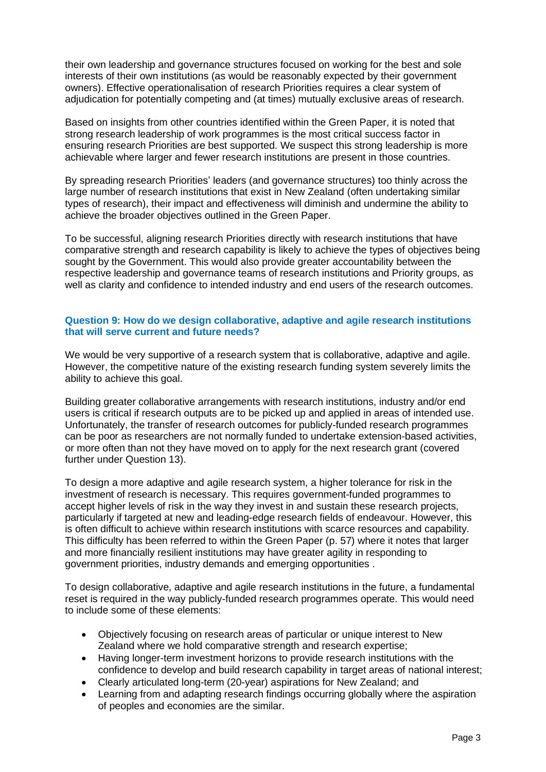their own leadership and governance structures focused on working for the best and sole interests of their own institutions (as would be reasonably expected by their government owners). Effective operationalisation of research Priorities requires a clear system of adjudication for potentially competing and (at times) mutually exclusive areas of research.

Based on insights from other countries identified within the Green Paper, it is noted that strong research leadership of work programmes is the most critical success factor in ensuring research Priorities are best supported. We suspect this strong leadership is more achievable where larger and fewer research institutions are present in those countries.

By spreading research Priorities' leaders (and governance structures) too thinly across the large number of research institutions that exist in New Zealand (often undertaking similar types of research), their impact and effectiveness will diminish and undermine the ability to achieve the broader objectives outlined in the Green Paper.

To be successful, aligning research Priorities directly with research institutions that have comparative strength and research capability is likely to achieve the types of objectives being sought by the Government. This would also provide greater accountability between the respective leadership and governance teams of research institutions and Priority groups, as well as clarity and confidence to intended industry and end users of the research outcomes.

## **Question 9: How do we design collaborative, adaptive and agile research institutions that will serve current and future needs?**

We would be very supportive of a research system that is collaborative, adaptive and agile. However, the competitive nature of the existing research funding system severely limits the ability to achieve this goal.

Building greater collaborative arrangements with research institutions, industry and/or end users is critical if research outputs are to be picked up and applied in areas of intended use. Unfortunately, the transfer of research outcomes for publicly-funded research programmes can be poor as researchers are not normally funded to undertake extension-based activities, or more often than not they have moved on to apply for the next research grant (covered further under Question 13).

To design a more adaptive and agile research system, a higher tolerance for risk in the investment of research is necessary. This requires government-funded programmes to accept higher levels of risk in the way they invest in and sustain these research projects, particularly if targeted at new and leading-edge research fields of endeavour. However, this is often difficult to achieve within research institutions with scarce resources and capability. This difficulty has been referred to within the Green Paper (p. 57) where it notes that larger and more financially resilient institutions may have greater agility in responding to government priorities, industry demands and emerging opportunities .

To design collaborative, adaptive and agile research institutions in the future, a fundamental reset is required in the way publicly-funded research programmes operate. This would need to include some of these elements:

- Objectively focusing on research areas of particular or unique interest to New Zealand where we hold comparative strength and research expertise;
- Having longer-term investment horizons to provide research institutions with the confidence to develop and build research capability in target areas of national interest;
- Clearly articulated long-term (20-year) aspirations for New Zealand; and
- Learning from and adapting research findings occurring globally where the aspiration of peoples and economies are the similar.